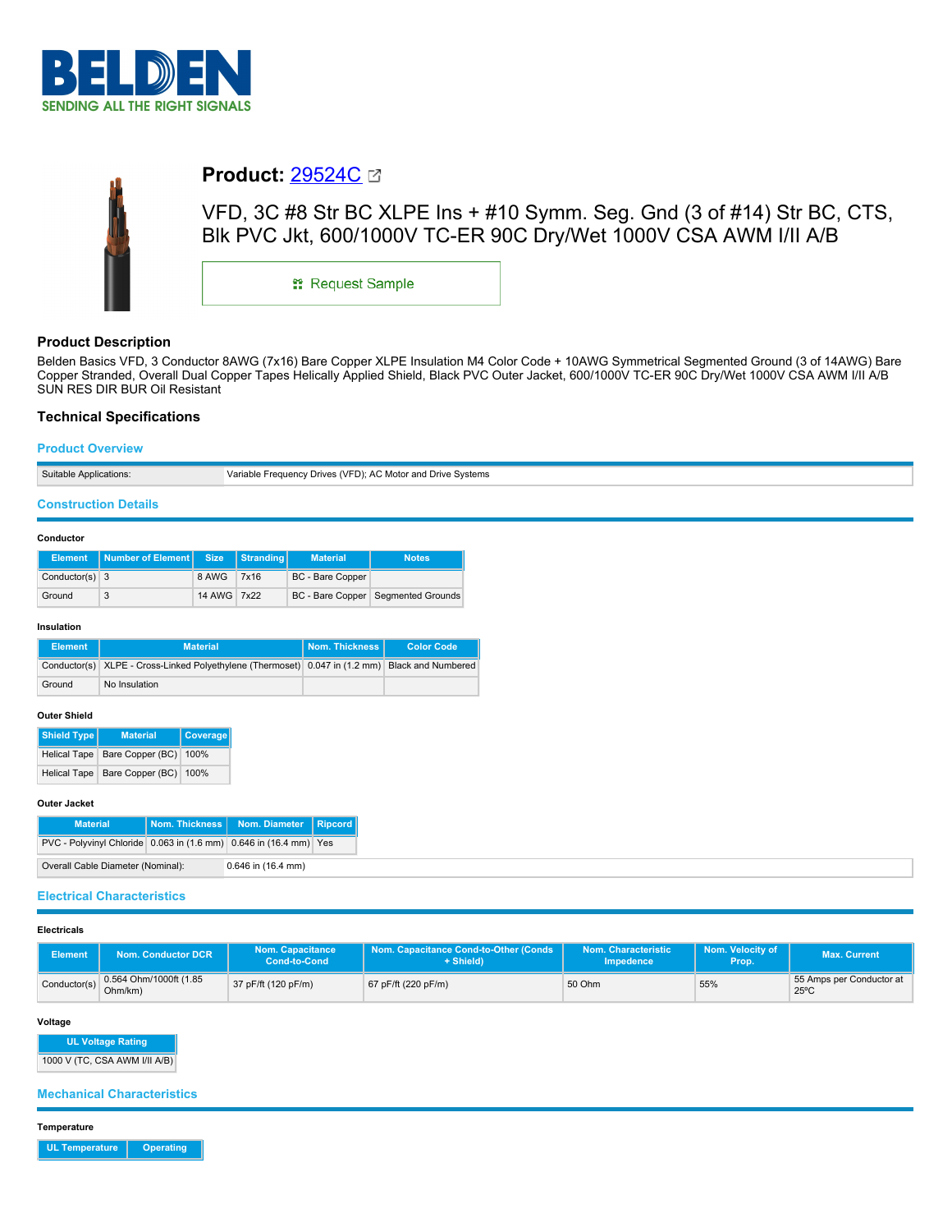



# **Product:** [29524C](https://catalog.belden.com/index.cfm?event=pd&p=PF_29524C&tab=downloads)

VFD, 3C #8 Str BC XLPE Ins + #10 Symm. Seg. Gnd (3 of #14) Str BC, CTS, Blk PVC Jkt, 600/1000V TC-ER 90C Dry/Wet 1000V CSA AWM I/II A/B

\*\* Request Sample

## **Product Description**

Belden Basics VFD, 3 Conductor 8AWG (7x16) Bare Copper XLPE Insulation M4 Color Code + 10AWG Symmetrical Segmented Ground (3 of 14AWG) Bare Copper Stranded, Overall Dual Copper Tapes Helically Applied Shield, Black PVC Outer Jacket, 600/1000V TC-ER 90C Dry/Wet 1000V CSA AWM I/II A/B SUN RES DIR BUR Oil Resistant

### **Technical Specifications**

### **Product Overview**

| Variable Frequency Drives (VFD): AC Motor and Drive Systems |  |
|-------------------------------------------------------------|--|

### **Construction Details**

#### **Conductor**

|                  | Element   Number of Element   Size   Stranding |             | <b>Material</b>  | <b>Notes</b>                         |
|------------------|------------------------------------------------|-------------|------------------|--------------------------------------|
| Conductor(s) $3$ |                                                | 8 AWG 7x16  | BC - Bare Copper |                                      |
| Ground           | 3                                              | 14 AWG 7x22 |                  | BC - Bare Copper   Segmented Grounds |

#### **Insulation**

| <b>Element</b> | <b>Material</b>                                                                                | Nom. Thickness I | <b>Color Code</b> |
|----------------|------------------------------------------------------------------------------------------------|------------------|-------------------|
|                | Conductor(s) XLPE - Cross-Linked Polyethylene (Thermoset) 0.047 in (1.2 mm) Black and Numbered |                  |                   |
| Ground         | No Insulation                                                                                  |                  |                   |

### **Outer Shield**

| Shield Type | <b>Material</b>                        | Coverage |
|-------------|----------------------------------------|----------|
|             | Helical Tape   Bare Copper (BC)   100% |          |
|             | Helical Tape Bare Copper (BC) 100%     |          |

#### **Outer Jacket**

| <b>Material</b>                                                   |                        | Nom. Thickness   Nom. Diameter   Ripcord |  |
|-------------------------------------------------------------------|------------------------|------------------------------------------|--|
| PVC - Polyvinyl Chloride 0.063 in (1.6 mm) 0.646 in (16.4 mm) Yes |                        |                                          |  |
| Overall Cable Diameter (Nominal):                                 | $0.646$ in $(16.4$ mm) |                                          |  |

### **Electrical Characteristics**

### **Electricals**

| <b>Element</b> | Nom. Conductor DCR                | <b>Nom. Capacitance</b><br>Cond-to-Cond | Nom. Capacitance Cond-to-Other (Conds<br>+ Shield) | Nom. Characteristic<br><b>Impedence</b> | Nom. Velocity of<br>Prop. | <b>Max. Current</b>                        |
|----------------|-----------------------------------|-----------------------------------------|----------------------------------------------------|-----------------------------------------|---------------------------|--------------------------------------------|
| Conductor(s)   | 0.564 Ohm/1000ft (1.85<br>Ohm/km) | 37 pF/ft (120 pF/m)                     | 67 pF/ft (220 pF/m)                                | 50 Ohm                                  | 55%                       | 55 Amps per Conductor at<br>$25^{\circ}$ C |

#### **Voltage**

**UL Voltage Rating**

1000 V (TC, CSA AWM I/II A/B)

### **Mechanical Characteristics**

**Temperature**

**UL Temperature Operating**